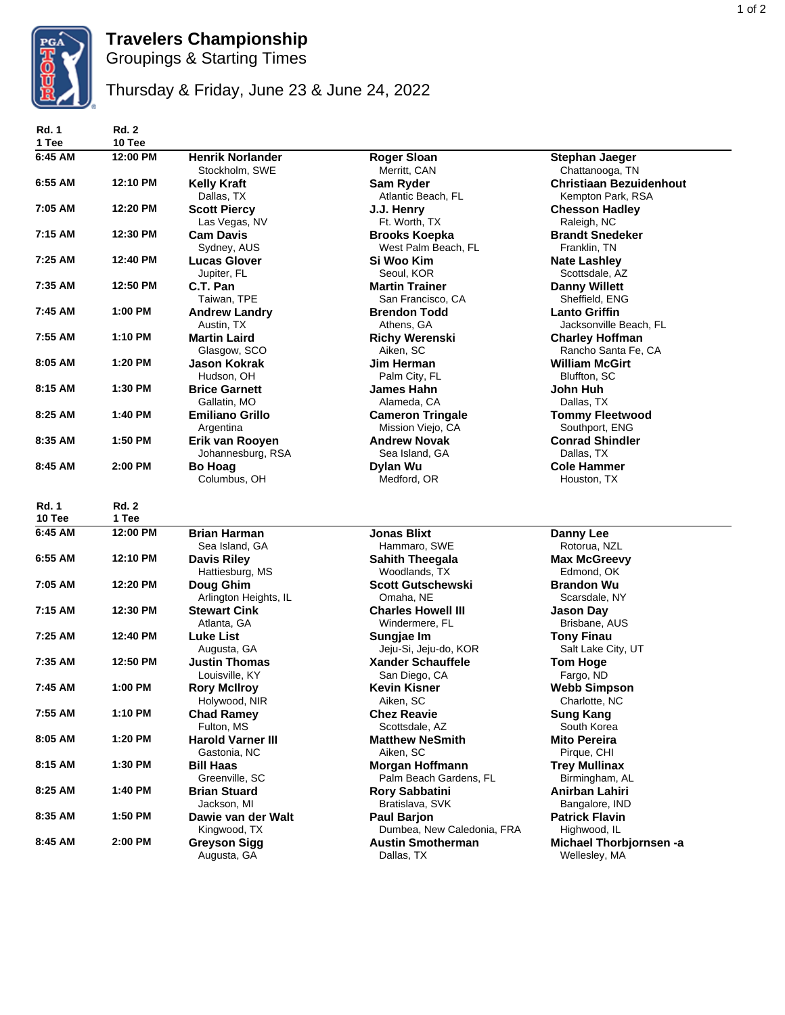

## **Travelers Championship**

Groupings & Starting Times

Thursday & Friday, June 23 & June 24, 2022

| <b>Rd. 1</b><br>1 Tee  | <b>Rd. 2</b><br>10 Tee |                                           |                                                  |                                                     |
|------------------------|------------------------|-------------------------------------------|--------------------------------------------------|-----------------------------------------------------|
| 6:45 AM                | 12:00 PM               | <b>Henrik Norlander</b><br>Stockholm, SWE | <b>Roger Sloan</b><br>Merritt, CAN               | <b>Stephan Jaeger</b><br>Chattanooga, TN            |
| 6:55 AM                | 12:10 PM               | <b>Kelly Kraft</b><br>Dallas, TX          | <b>Sam Ryder</b><br>Atlantic Beach, FL           | <b>Christiaan Bezuidenhout</b><br>Kempton Park, RSA |
| 7:05 AM                | 12:20 PM               | <b>Scott Piercy</b><br>Las Vegas, NV      | J.J. Henry<br>Ft. Worth, TX                      | <b>Chesson Hadley</b><br>Raleigh, NC                |
| 7:15 AM                | 12:30 PM               | <b>Cam Davis</b><br>Sydney, AUS           | <b>Brooks Koepka</b><br>West Palm Beach, FL      | <b>Brandt Snedeker</b><br>Franklin, TN              |
| 7:25 AM                | 12:40 PM               | <b>Lucas Glover</b><br>Jupiter, FL        | Si Woo Kim<br>Seoul, KOR                         | <b>Nate Lashley</b><br>Scottsdale, AZ               |
| 7:35 AM                | 12:50 PM               | C.T. Pan<br>Taiwan, TPE                   | <b>Martin Trainer</b><br>San Francisco, CA       | <b>Danny Willett</b><br>Sheffield, ENG              |
| 7:45 AM                | 1:00 PM                | <b>Andrew Landry</b><br>Austin, TX        | <b>Brendon Todd</b><br>Athens, GA                | <b>Lanto Griffin</b><br>Jacksonville Beach, FL      |
| 7:55 AM                | 1:10 PM                | <b>Martin Laird</b><br>Glasgow, SCO       | <b>Richy Werenski</b><br>Aiken, SC               | <b>Charley Hoffman</b><br>Rancho Santa Fe, CA       |
| 8:05 AM                | 1:20 PM                | <b>Jason Kokrak</b><br>Hudson, OH         | Jim Herman<br>Palm City, FL                      | <b>William McGirt</b><br>Bluffton, SC               |
| 8:15 AM                | 1:30 PM                | <b>Brice Garnett</b><br>Gallatin, MO      | James Hahn<br>Alameda, CA                        | John Huh<br>Dallas, TX                              |
| 8:25 AM                | 1:40 PM                | <b>Emiliano Grillo</b><br>Argentina       | <b>Cameron Tringale</b><br>Mission Viejo, CA     | <b>Tommy Fleetwood</b><br>Southport, ENG            |
| 8:35 AM                | 1:50 PM                | Erik van Rooven<br>Johannesburg, RSA      | <b>Andrew Novak</b><br>Sea Island, GA            | <b>Conrad Shindler</b><br>Dallas, TX                |
| 8:45 AM                | 2:00 PM                | <b>Bo Hoag</b><br>Columbus, OH            | Dylan Wu<br>Medford, OR                          | <b>Cole Hammer</b><br>Houston, TX                   |
| <b>Rd. 1</b><br>10 Tee | <b>Rd. 2</b><br>1 Tee  |                                           |                                                  |                                                     |
| 6:45 AM                | 12:00 PM               | <b>Brian Harman</b><br>Sea Island, GA     | <b>Jonas Blixt</b><br>Hammaro, SWE               | <b>Danny Lee</b><br>Rotorua, NZL                    |
| 6:55 AM                | 12:10 PM               | <b>Davis Riley</b><br>Hattiesburg, MS     | <b>Sahith Theegala</b><br>Woodlands, TX          | <b>Max McGreevy</b><br>Edmond, OK                   |
| 7:05 AM                | 12:20 PM               | Doug Ghim<br>Arlington Heights, IL        | <b>Scott Gutschewski</b><br>Omaha, NE            | <b>Brandon Wu</b><br>Scarsdale, NY                  |
| 7:15 AM                | 12:30 PM               | <b>Stewart Cink</b><br>Atlanta, GA        | <b>Charles Howell III</b><br>Windermere, FL      | <b>Jason Day</b><br>Brisbane, AUS                   |
| 7:25 AM                | 12:40 PM               | Luke List<br>Augusta, GA                  | Sungjae Im<br>Jeju-Si, Jeju-do, KOR              | <b>Tony Finau</b><br>Salt Lake City, UT             |
| 7:35 AM                | 12:50 PM               | <b>Justin Thomas</b><br>Louisville, KY    | <b>Xander Schauffele</b><br>San Diego, CA        | <b>Tom Hoge</b><br>Fargo, ND                        |
| 7:45 AM                | 1:00 PM                | <b>Rory McIlroy</b><br>Holywood, NIR      | <b>Kevin Kisner</b><br>Aiken, SC                 | <b>Webb Simpson</b><br>Charlotte, NC                |
| 7:55 AM                | 1:10 PM                | <b>Chad Ramey</b><br>Fulton, MS           | <b>Chez Reavie</b><br>Scottsdale, AZ             | <b>Sung Kang</b><br>South Korea                     |
| 8:05 AM                | 1:20 PM                | <b>Harold Varner III</b><br>Gastonia, NC  | <b>Matthew NeSmith</b><br>Aiken, SC              | <b>Mito Pereira</b><br>Pirque, CHI                  |
| 8:15 AM                | 1:30 PM                | <b>Bill Haas</b><br>Greenville, SC        | Morgan Hoffmann<br>Palm Beach Gardens, FL        | <b>Trey Mullinax</b><br>Birmingham, AL              |
| 8:25 AM                | 1:40 PM                | <b>Brian Stuard</b><br>Jackson, MI        | <b>Rory Sabbatini</b><br>Bratislava, SVK         | Anirban Lahiri<br>Bangalore, IND                    |
| 8:35 AM                | 1:50 PM                | Dawie van der Walt<br>Kingwood, TX        | <b>Paul Barjon</b><br>Dumbea, New Caledonia, FRA | <b>Patrick Flavin</b><br>Highwood, IL               |
| 8:45 AM                | 2:00 PM                | <b>Greyson Sigg</b><br>Augusta, GA        | <b>Austin Smotherman</b><br>Dallas, TX           | Michael Thorbjornsen -a<br>Wellesley, MA            |